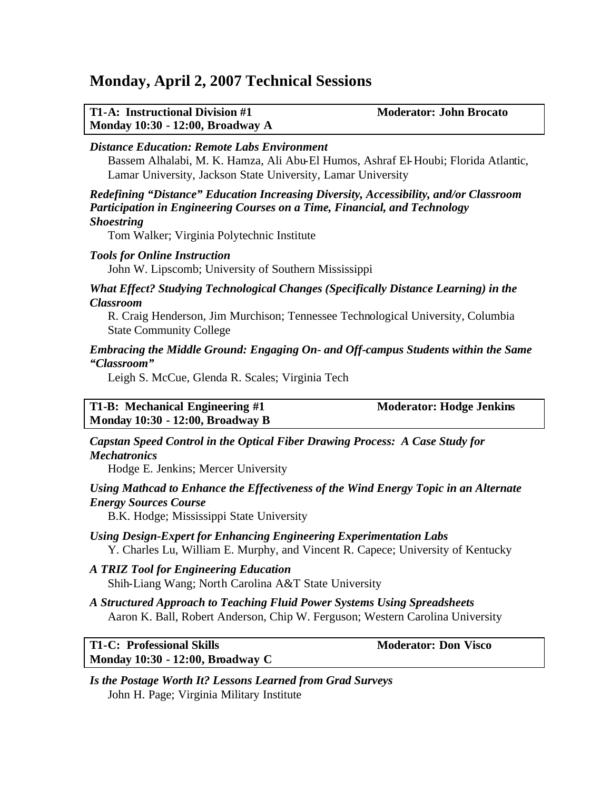## **Monday, April 2, 2007 Technical Sessions**

| <b>T1-A: Instructional Division #1</b> |  |
|----------------------------------------|--|
| Monday 10:30 - 12:00, Broadway A       |  |

**Moderator: John Brocato** 

#### *Distance Education: Remote Labs Environment*

Bassem Alhalabi, M. K. Hamza, Ali Abu-El Humos, Ashraf El-Houbi; Florida Atlantic, Lamar University, Jackson State University, Lamar University

*Redefining "Distance" Education Increasing Diversity, Accessibility, and/or Classroom Participation in Engineering Courses on a Time, Financial, and Technology Shoestring*

Tom Walker; Virginia Polytechnic Institute

#### *Tools for Online Instruction*

John W. Lipscomb; University of Southern Mississippi

#### *What Effect? Studying Technological Changes (Specifically Distance Learning) in the Classroom*

R. Craig Henderson, Jim Murchison; Tennessee Technological University, Columbia State Community College

#### *Embracing the Middle Ground: Engaging On- and Off-campus Students within the Same "Classroom"*

Leigh S. McCue, Glenda R. Scales; Virginia Tech

**T1-B: Mechanical Engineering #1 Moderator: Hodge Jenkins Monday 10:30 - 12:00, Broadway B**

*Capstan Speed Control in the Optical Fiber Drawing Process: A Case Study for Mechatronics*

Hodge E. Jenkins; Mercer University

#### *Using Mathcad to Enhance the Effectiveness of the Wind Energy Topic in an Alternate Energy Sources Course*

B.K. Hodge; Mississippi State University

- *Using Design-Expert for Enhancing Engineering Experimentation Labs* Y. Charles Lu, William E. Murphy, and Vincent R. Capece; University of Kentucky
- *A TRIZ Tool for Engineering Education* Shih-Liang Wang; North Carolina A&T State University
- *A Structured Approach to Teaching Fluid Power Systems Using Spreadsheets* Aaron K. Ball, Robert Anderson, Chip W. Ferguson; Western Carolina University

**T1-C: Professional Skills Moderator: Don Visco Monday 10:30 - 12:00, Broadway C**

*Is the Postage Worth It? Lessons Learned from Grad Surveys* John H. Page; Virginia Military Institute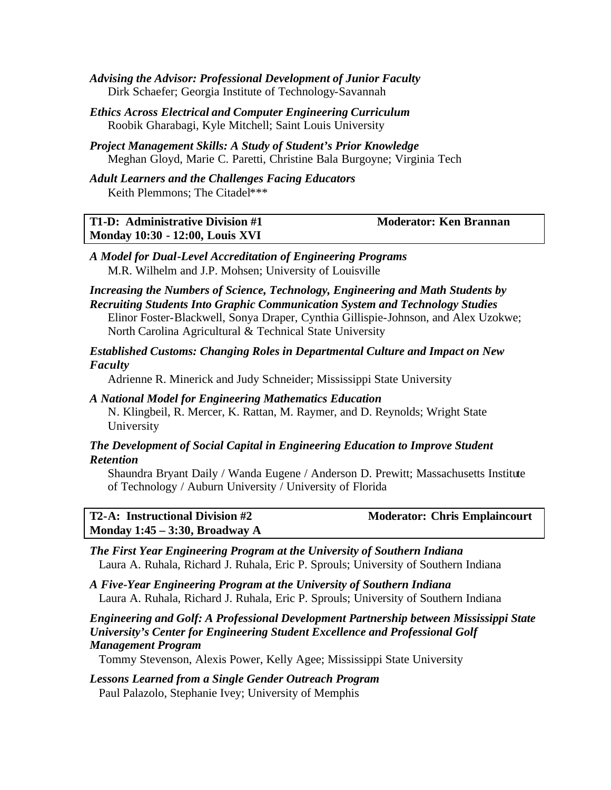- *Advising the Advisor: Professional Development of Junior Faculty* Dirk Schaefer; Georgia Institute of Technology-Savannah
- *Ethics Across Electrical and Computer Engineering Curriculum* Roobik Gharabagi, Kyle Mitchell; Saint Louis University
- *Project Management Skills: A Study of Student's Prior Knowledge* Meghan Gloyd, Marie C. Paretti, Christine Bala Burgoyne; Virginia Tech
- *Adult Learners and the Challenges Facing Educators* Keith Plemmons; The Citadel\*\*\*

| T1-D: Administrative Division #1       | <b>Moderator: Ken Brannan</b> |
|----------------------------------------|-------------------------------|
| <b>Monday 10:30 - 12:00, Louis XVI</b> |                               |

*A Model for Dual-Level Accreditation of Engineering Programs* M.R. Wilhelm and J.P. Mohsen; University of Louisville

## *Increasing the Numbers of Science, Technology, Engineering and Math Students by Recruiting Students Into Graphic Communication System and Technology Studies* Elinor Foster-Blackwell, Sonya Draper, Cynthia Gillispie-Johnson, and Alex Uzokwe;

North Carolina Agricultural & Technical State University

#### *Established Customs: Changing Roles in Departmental Culture and Impact on New Faculty*

Adrienne R. Minerick and Judy Schneider; Mississippi State University

#### *A National Model for Engineering Mathematics Education* N. Klingbeil, R. Mercer, K. Rattan, M. Raymer, and D. Reynolds; Wright State University

#### *The Development of Social Capital in Engineering Education to Improve Student Retention*

Shaundra Bryant Daily / Wanda Eugene / Anderson D. Prewitt; Massachusetts Institute of Technology / Auburn University / University of Florida

| <b>T2-A: Instructional Division #2</b> | <b>Moderator: Chris Emplaincourt</b> |
|----------------------------------------|--------------------------------------|
| Monday $1:45 - 3:30$ , Broadway A      |                                      |

*The First Year Engineering Program at the University of Southern Indiana* Laura A. Ruhala, Richard J. Ruhala, Eric P. Sprouls; University of Southern Indiana

*A Five-Year Engineering Program at the University of Southern Indiana* Laura A. Ruhala, Richard J. Ruhala, Eric P. Sprouls; University of Southern Indiana

#### *Engineering and Golf: A Professional Development Partnership between Mississippi State University's Center for Engineering Student Excellence and Professional Golf Management Program*

Tommy Stevenson, Alexis Power, Kelly Agee; Mississippi State University

#### *Lessons Learned from a Single Gender Outreach Program* Paul Palazolo, Stephanie Ivey; University of Memphis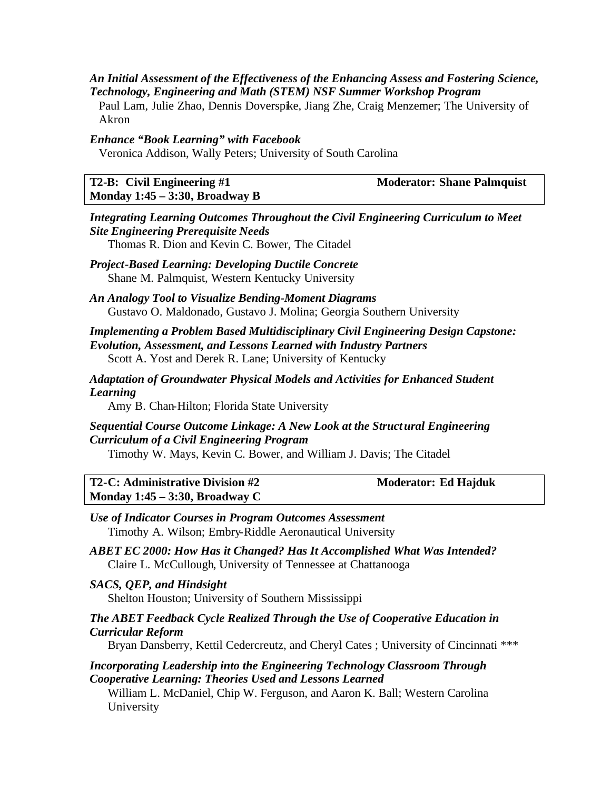#### *An Initial Assessment of the Effectiveness of the Enhancing Assess and Fostering Science, Technology, Engineering and Math (STEM) NSF Summer Workshop Program*

Paul Lam, Julie Zhao, Dennis Doverspike, Jiang Zhe, Craig Menzemer; The University of Akron

#### *Enhance "Book Learning" with Facebook*

Veronica Addison, Wally Peters; University of South Carolina

| <b>T2-B:</b> Civil Engineering $#1$ | <b>Moderator: Shane Palmquist</b> |
|-------------------------------------|-----------------------------------|
| Monday $1:45 - 3:30$ , Broadway B   |                                   |

#### *Integrating Learning Outcomes Throughout the Civil Engineering Curriculum to Meet Site Engineering Prerequisite Needs*

Thomas R. Dion and Kevin C. Bower, The Citadel

*Project-Based Learning: Developing Ductile Concrete* Shane M. Palmquist, Western Kentucky University

*An Analogy Tool to Visualize Bending-Moment Diagrams* Gustavo O. Maldonado, Gustavo J. Molina; Georgia Southern University

#### *Implementing a Problem Based Multidisciplinary Civil Engineering Design Capstone: Evolution, Assessment, and Lessons Learned with Industry Partners*

Scott A. Yost and Derek R. Lane; University of Kentucky

#### *Adaptation of Groundwater Physical Models and Activities for Enhanced Student Learning*

Amy B. Chan-Hilton; Florida State University

## *Sequential Course Outcome Linkage: A New Look at the Structural Engineering Curriculum of a Civil Engineering Program*

Timothy W. Mays, Kevin C. Bower, and William J. Davis; The Citadel

**T2-C: Administrative Division #2 Moderator: Ed Hajduk Monday 1:45 – 3:30, Broadway C**

#### *Use of Indicator Courses in Program Outcomes Assessment* Timothy A. Wilson; Embry-Riddle Aeronautical University

*ABET EC 2000: How Has it Changed? Has It Accomplished What Was Intended?* Claire L. McCullough, University of Tennessee at Chattanooga

*SACS, QEP, and Hindsight* Shelton Houston; University of Southern Mississippi

#### *The ABET Feedback Cycle Realized Through the Use of Cooperative Education in Curricular Reform*

Bryan Dansberry, Kettil Cedercreutz, and Cheryl Cates ; University of Cincinnati \*\*\*

#### *Incorporating Leadership into the Engineering Technology Classroom Through Cooperative Learning: Theories Used and Lessons Learned*

William L. McDaniel, Chip W. Ferguson, and Aaron K. Ball; Western Carolina University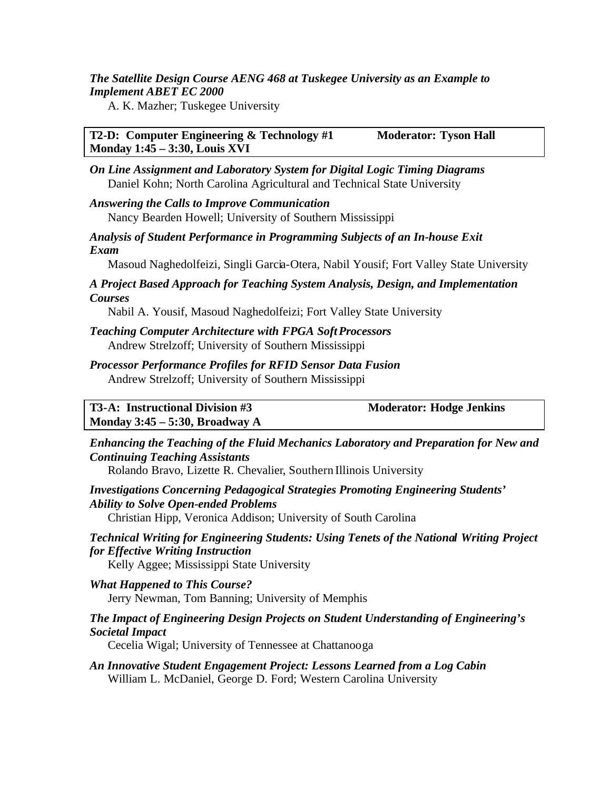#### *The Satellite Design Course AENG 468 at Tuskegee University as an Example to Implement ABET EC 2000*

A. K. Mazher; Tuskegee University

**T2-D: Computer Engineering & Technology #1 Moderator: Tyson Hall Monday 1:45 – 3:30, Louis XVI**

*On Line Assignment and Laboratory System for Digital Logic Timing Diagrams* Daniel Kohn; North Carolina Agricultural and Technical State University

*Answering the Calls to Improve Communication* Nancy Bearden Howell; University of Southern Mississippi

*Analysis of Student Performance in Programming Subjects of an In-house Exit Exam*

Masoud Naghedolfeizi, Singli Garcia-Otera, Nabil Yousif; Fort Valley State University

*A Project Based Approach for Teaching System Analysis, Design, and Implementation Courses*

Nabil A. Yousif, Masoud Naghedolfeizi; Fort Valley State University

- *Teaching Computer Architecture with FPGA Soft Processors* Andrew Strelzoff; University of Southern Mississippi
- *Processor Performance Profiles for RFID Sensor Data Fusion* Andrew Strelzoff; University of Southern Mississippi

**T3-A: Instructional Division #3 Moderator: Hodge Jenkins Monday 3:45 – 5:30, Broadway A**

*Enhancing the Teaching of the Fluid Mechanics Laboratory and Preparation for New and Continuing Teaching Assistants*

Rolando Bravo, Lizette R. Chevalier, Southern Illinois University

*Investigations Concerning Pedagogical Strategies Promoting Engineering Students' Ability to Solve Open-ended Problems*

Christian Hipp, Veronica Addison; University of South Carolina

*Technical Writing for Engineering Students: Using Tenets of the National Writing Project for Effective Writing Instruction*

Kelly Aggee; Mississippi State University

*What Happened to This Course?* Jerry Newman, Tom Banning; University of Memphis

#### *The Impact of Engineering Design Projects on Student Understanding of Engineering's Societal Impact*

Cecelia Wigal; University of Tennessee at Chattanooga

*An Innovative Student Engagement Project: Lessons Learned from a Log Cabin* William L. McDaniel, George D. Ford; Western Carolina University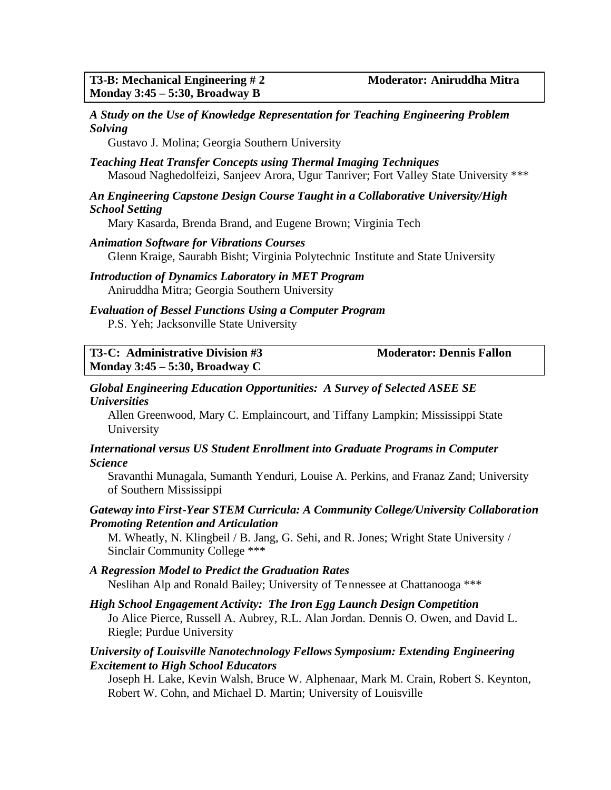#### *A Study on the Use of Knowledge Representation for Teaching Engineering Problem Solving*

Gustavo J. Molina; Georgia Southern University

#### *Teaching Heat Transfer Concepts using Thermal Imaging Techniques* Masoud Naghedolfeizi, Sanjeev Arora, Ugur Tanriver; Fort Valley State University \*\*\*

#### *An Engineering Capstone Design Course Taught in a Collaborative University/High School Setting*

Mary Kasarda, Brenda Brand, and Eugene Brown; Virginia Tech

*Animation Software for Vibrations Courses* Glenn Kraige, Saurabh Bisht; Virginia Polytechnic Institute and State University

*Introduction of Dynamics Laboratory in MET Program* Aniruddha Mitra; Georgia Southern University

#### *Evaluation of Bessel Functions Using a Computer Program* P.S. Yeh; Jacksonville State University

#### **T3-C: Administrative Division #3 Moderator: Dennis Fallon Monday 3:45 – 5:30, Broadway C**

#### *Global Engineering Education Opportunities: A Survey of Selected ASEE SE Universities*

Allen Greenwood, Mary C. Emplaincourt, and Tiffany Lampkin; Mississippi State University

#### *International versus US Student Enrollment into Graduate Programs in Computer Science*

Sravanthi Munagala, Sumanth Yenduri, Louise A. Perkins, and Franaz Zand; University of Southern Mississippi

#### *Gateway into First-Year STEM Curricula: A Community College/University Collaboration Promoting Retention and Articulation*

M. Wheatly, N. Klingbeil / B. Jang, G. Sehi, and R. Jones; Wright State University / Sinclair Community College \*\*\*

### *A Regression Model to Predict the Graduation Rates*

Neslihan Alp and Ronald Bailey; University of Tennessee at Chattanooga \*\*\*

# *High School Engagement Activity: The Iron Egg Launch Design Competition*

Jo Alice Pierce, Russell A. Aubrey, R.L. Alan Jordan. Dennis O. Owen, and David L. Riegle; Purdue University

#### *University of Louisville Nanotechnology Fellows Symposium: Extending Engineering Excitement to High School Educators*

Joseph H. Lake, Kevin Walsh, Bruce W. Alphenaar, Mark M. Crain, Robert S. Keynton, Robert W. Cohn, and Michael D. Martin; University of Louisville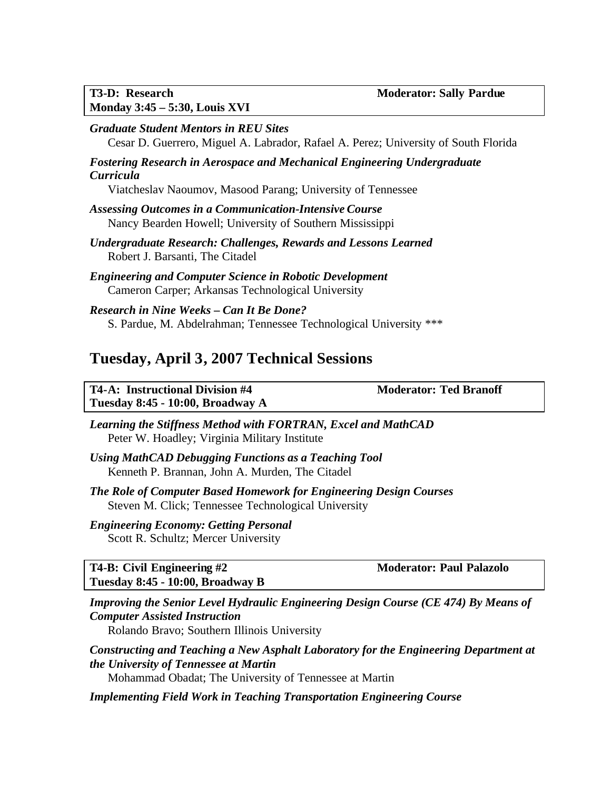*Graduate Student Mentors in REU Sites* Cesar D. Guerrero, Miguel A. Labrador, Rafael A. Perez; University of South Florida

#### *Fostering Research in Aerospace and Mechanical Engineering Undergraduate Curricula*

Viatcheslav Naoumov, Masood Parang; University of Tennessee

- *Assessing Outcomes in a Communication-Intensive Course* Nancy Bearden Howell; University of Southern Mississippi
- *Undergraduate Research: Challenges, Rewards and Lessons Learned* Robert J. Barsanti, The Citadel
- *Engineering and Computer Science in Robotic Development* Cameron Carper; Arkansas Technological University
- *Research in Nine Weeks Can It Be Done?* S. Pardue, M. Abdelrahman; Tennessee Technological University \*\*\*

## **Tuesday, April 3, 2007 Technical Sessions**

| <b>T4-A: Instructional Division #4</b> |  |  |
|----------------------------------------|--|--|
| Tuesday 8:45 - 10:00, Broadway A       |  |  |

**Moderator: Ted Branoff** 

*Learning the Stiffness Method with FORTRAN, Excel and MathCAD* Peter W. Hoadley; Virginia Military Institute

*Using MathCAD Debugging Functions as a Teaching Tool* Kenneth P. Brannan, John A. Murden, The Citadel

*The Role of Computer Based Homework for Engineering Design Courses* Steven M. Click; Tennessee Technological University

## *Engineering Economy: Getting Personal*

Scott R. Schultz; Mercer University

**T4-B: Civil Engineering #2 Moderator: Paul Palazolo Tuesday 8:45 - 10:00, Broadway B**

*Improving the Senior Level Hydraulic Engineering Design Course (CE 474) By Means of Computer Assisted Instruction*

Rolando Bravo; Southern Illinois University

*Constructing and Teaching a New Asphalt Laboratory for the Engineering Department at the University of Tennessee at Martin* Mohammad Obadat; The University of Tennessee at Martin

*Implementing Field Work in Teaching Transportation Engineering Course*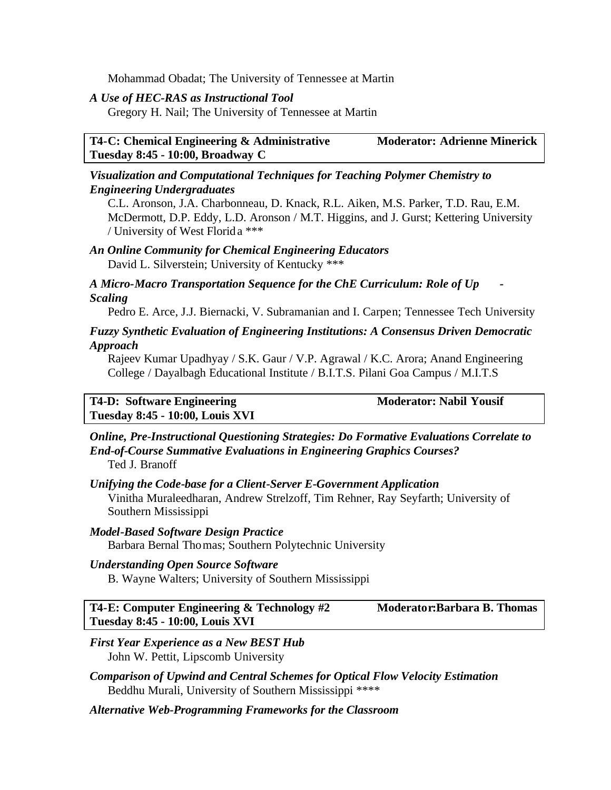Mohammad Obadat; The University of Tennessee at Martin

#### *A Use of HEC-RAS as Instructional Tool*

Gregory H. Nail; The University of Tennessee at Martin

#### **T4-C: Chemical Engineering & Administrative Moderator: Adrienne Minerick Tuesday 8:45 - 10:00, Broadway C**

#### *Visualization and Computational Techniques for Teaching Polymer Chemistry to Engineering Undergraduates*

C.L. Aronson, J.A. Charbonneau, D. Knack, R.L. Aiken, M.S. Parker, T.D. Rau, E.M. McDermott, D.P. Eddy, L.D. Aronson / M.T. Higgins, and J. Gurst; Kettering University / University of West Florida \*\*\*

## *An Online Community for Chemical Engineering Educators*

David L. Silverstein; University of Kentucky \*\*\*

*A Micro-Macro Transportation Sequence for the ChE Curriculum: Role of Up - Scaling*

Pedro E. Arce, J.J. Biernacki, V. Subramanian and I. Carpen; Tennessee Tech University

#### *Fuzzy Synthetic Evaluation of Engineering Institutions: A Consensus Driven Democratic Approach*

Rajeev Kumar Upadhyay / S.K. Gaur / V.P. Agrawal / K.C. Arora; Anand Engineering College / Dayalbagh Educational Institute / B.I.T.S. Pilani Goa Campus / M.I.T.S

**T4-D:** Software Engineering **Moderator: Nabil Yousif Tuesday 8:45 - 10:00, Louis XVI**

*Online, Pre-Instructional Questioning Strategies: Do Formative Evaluations Correlate to End-of-Course Summative Evaluations in Engineering Graphics Courses?* Ted J. Branoff

*Unifying the Code-base for a Client-Server E-Government Application* Vinitha Muraleedharan, Andrew Strelzoff, Tim Rehner, Ray Seyfarth; University of Southern Mississippi

### *Model-Based Software Design Practice*

Barbara Bernal Thomas; Southern Polytechnic University

#### *Understanding Open Source Software*

B. Wayne Walters; University of Southern Mississippi

**T4-E: Computer Engineering & Technology #2 Moderator:Barbara B. Thomas Tuesday 8:45 - 10:00, Louis XVI**

#### *First Year Experience as a New BEST Hub* John W. Pettit, Lipscomb University

- *Comparison of Upwind and Central Schemes for Optical Flow Velocity Estimation* Beddhu Murali, University of Southern Mississippi \*\*\*\*
- *Alternative Web-Programming Frameworks for the Classroom*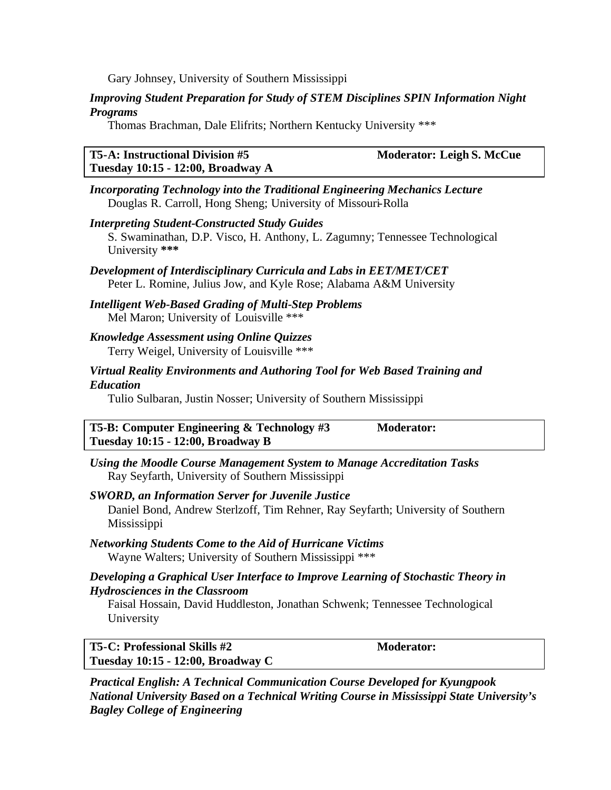Gary Johnsey, University of Southern Mississippi

#### *Improving Student Preparation for Study of STEM Disciplines SPIN Information Night Programs*

Thomas Brachman, Dale Elifrits; Northern Kentucky University \*\*\*

#### **T5-A: Instructional Division #5 Moderator: Leigh S. McCue Tuesday 10:15 - 12:00, Broadway A**

*Incorporating Technology into the Traditional Engineering Mechanics Lecture* Douglas R. Carroll, Hong Sheng; University of Missouri-Rolla

- *Interpreting Student-Constructed Study Guides* S. Swaminathan, D.P. Visco, H. Anthony, L. Zagumny; Tennessee Technological University **\*\*\***
- *Development of Interdisciplinary Curricula and Labs in EET/MET/CET* Peter L. Romine, Julius Jow, and Kyle Rose; Alabama A&M University
- *Intelligent Web-Based Grading of Multi-Step Problems* Mel Maron; University of Louisville \*\*\*
- *Knowledge Assessment using Online Quizzes* Terry Weigel, University of Louisville \*\*\*

### *Virtual Reality Environments and Authoring Tool for Web Based Training and Education*

Tulio Sulbaran, Justin Nosser; University of Southern Mississippi

**T5-B: Computer Engineering & Technology #3 Moderator: Tuesday 10:15 - 12:00, Broadway B**

*Using the Moodle Course Management System to Manage Accreditation Tasks* Ray Seyfarth, University of Southern Mississippi

#### *SWORD, an Information Server for Juvenile Justice* Daniel Bond, Andrew Sterlzoff, Tim Rehner, Ray Seyfarth; University of Southern Mississippi

*Networking Students Come to the Aid of Hurricane Victims* Wayne Walters; University of Southern Mississippi \*\*\*

#### *Developing a Graphical User Interface to Improve Learning of Stochastic Theory in Hydrosciences in the Classroom*

Faisal Hossain, David Huddleston, Jonathan Schwenk; Tennessee Technological University

| T5-C: Professional Skills #2      | <b>Moderator:</b> |
|-----------------------------------|-------------------|
| Tuesday 10:15 - 12:00, Broadway C |                   |

*Practical English: A Technical Communication Course Developed for Kyungpook National University Based on a Technical Writing Course in Mississippi State University's Bagley College of Engineering*